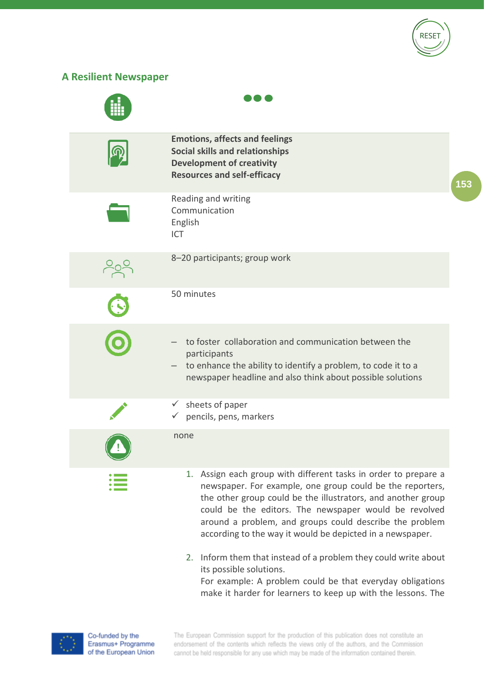

## **A Resilient Newspaper**



make it harder for learners to keep up with the lessons. The